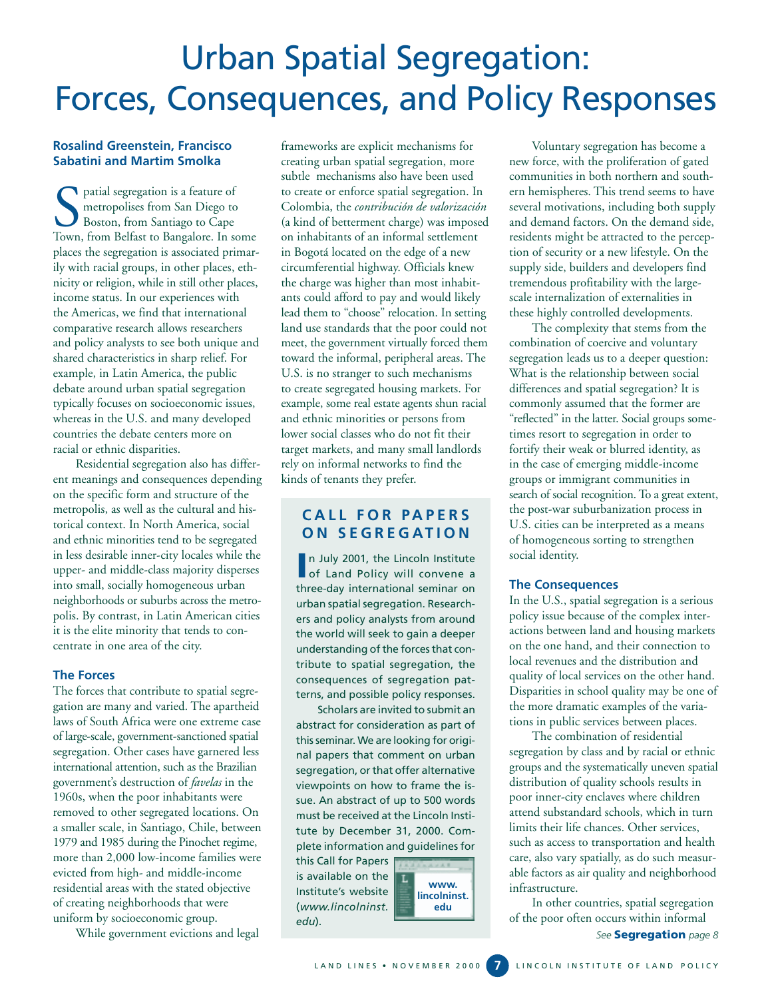# Urban Spatial Segregation: Forces, Consequences, and Policy Responses

# **Rosalind Greenstein, Francisco Sabatini and Martim Smolka**

patial segregation is a feature of metropolises from San Diego to Boston, from Santiago to Cape Town, from Belfast to Bangalore. In some places the segregation is associated primarily with racial groups, in other places, ethnicity or religion, while in still other places, income status. In our experiences with the Americas, we find that international comparative research allows researchers and policy analysts to see both unique and shared characteristics in sharp relief. For example, in Latin America, the public debate around urban spatial segregation typically focuses on socioeconomic issues, whereas in the U.S. and many developed countries the debate centers more on racial or ethnic disparities.

Residential segregation also has different meanings and consequences depending on the specific form and structure of the metropolis, as well as the cultural and historical context. In North America, social and ethnic minorities tend to be segregated in less desirable inner-city locales while the upper- and middle-class majority disperses into small, socially homogeneous urban neighborhoods or suburbs across the metropolis. By contrast, in Latin American cities it is the elite minority that tends to concentrate in one area of the city.

## **The Forces**

The forces that contribute to spatial segregation are many and varied. The apartheid laws of South Africa were one extreme case of large-scale, government-sanctioned spatial segregation. Other cases have garnered less international attention, such as the Brazilian government's destruction of *favelas* in the 1960s, when the poor inhabitants were removed to other segregated locations. On a smaller scale, in Santiago, Chile, between 1979 and 1985 during the Pinochet regime, more than 2,000 low-income families were evicted from high- and middle-income residential areas with the stated objective of creating neighborhoods that were uniform by socioeconomic group.

While government evictions and legal

frameworks are explicit mechanisms for creating urban spatial segregation, more subtle mechanisms also have been used to create or enforce spatial segregation. In Colombia, the *contribución de valorización* (a kind of betterment charge) was imposed on inhabitants of an informal settlement in Bogotá located on the edge of a new circumferential highway. Officials knew the charge was higher than most inhabitants could afford to pay and would likely lead them to "choose" relocation. In setting land use standards that the poor could not meet, the government virtually forced them toward the informal, peripheral areas. The U.S. is no stranger to such mechanisms to create segregated housing markets. For example, some real estate agents shun racial and ethnic minorities or persons from lower social classes who do not fit their target markets, and many small landlords rely on informal networks to find the kinds of tenants they prefer.

# **CALL FOR PAPERS ON SEGREGATION**

In July 2001, the Lincoln Institute<br>
of Land Policy will convene a of Land Policy will convene a three-day international seminar on urban spatial segregation. Researchers and policy analysts from around the world will seek to gain a deeper understanding of the forces that contribute to spatial segregation, the consequences of segregation patterns, and possible policy responses.

Scholars are invited to submit an abstract for consideration as part of this seminar. We are looking for original papers that comment on urban segregation, or that offer alternative viewpoints on how to frame the issue. An abstract of up to 500 words must be received at the Lincoln Institute by December 31, 2000. Complete information and guidelines for

this Call for Papers is available on the Institute's website (*www.lincolninst. edu*).



Voluntary segregation has become a new force, with the proliferation of gated communities in both northern and southern hemispheres. This trend seems to have several motivations, including both supply and demand factors. On the demand side, residents might be attracted to the perception of security or a new lifestyle. On the supply side, builders and developers find tremendous profitability with the largescale internalization of externalities in these highly controlled developments.

The complexity that stems from the combination of coercive and voluntary segregation leads us to a deeper question: What is the relationship between social differences and spatial segregation? It is commonly assumed that the former are "reflected" in the latter. Social groups sometimes resort to segregation in order to fortify their weak or blurred identity, as in the case of emerging middle-income groups or immigrant communities in search of social recognition. To a great extent, the post-war suburbanization process in U.S. cities can be interpreted as a means of homogeneous sorting to strengthen social identity.

## **The Consequences**

In the U.S., spatial segregation is a serious policy issue because of the complex interactions between land and housing markets on the one hand, and their connection to local revenues and the distribution and quality of local services on the other hand. Disparities in school quality may be one of the more dramatic examples of the variations in public services between places.

The combination of residential segregation by class and by racial or ethnic groups and the systematically uneven spatial distribution of quality schools results in poor inner-city enclaves where children attend substandard schools, which in turn limits their life chances. Other services, such as access to transportation and health care, also vary spatially, as do such measurable factors as air quality and neighborhood infrastructure.

*See* **Segregation** *page 8* In other countries, spatial segregation of the poor often occurs within informal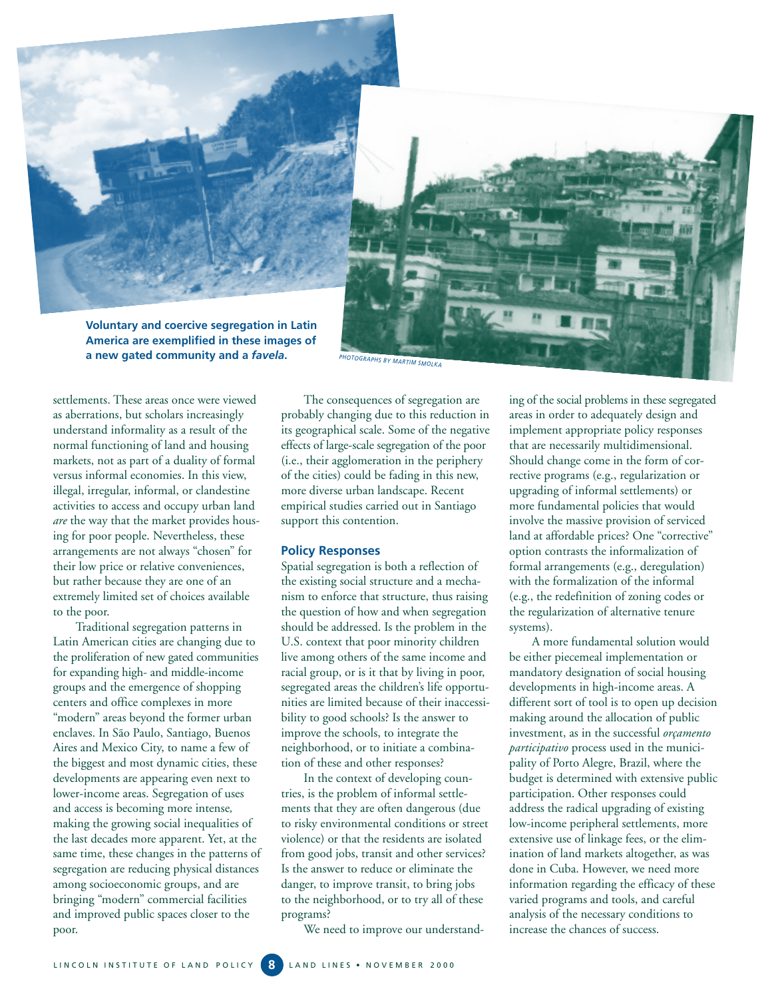

**Voluntary and coercive segregation in Latin America are exemplified in these images of a new gated community and a** *favela***.** *PHOTOGRAPHS BY MARTIM SMOLKA*

settlements. These areas once were viewed as aberrations, but scholars increasingly understand informality as a result of the normal functioning of land and housing markets, not as part of a duality of formal versus informal economies. In this view, illegal, irregular, informal, or clandestine activities to access and occupy urban land *are* the way that the market provides housing for poor people. Nevertheless, these arrangements are not always "chosen" for their low price or relative conveniences, but rather because they are one of an extremely limited set of choices available to the poor.

Traditional segregation patterns in Latin American cities are changing due to the proliferation of new gated communities for expanding high- and middle-income groups and the emergence of shopping centers and office complexes in more "modern" areas beyond the former urban enclaves. In São Paulo, Santiago, Buenos Aires and Mexico City, to name a few of the biggest and most dynamic cities, these developments are appearing even next to lower-income areas. Segregation of uses and access is becoming more intense*,* making the growing social inequalities of the last decades more apparent. Yet, at the same time, these changes in the patterns of segregation are reducing physical distances among socioeconomic groups, and are bringing "modern" commercial facilities and improved public spaces closer to the poor.

The consequences of segregation are probably changing due to this reduction in its geographical scale. Some of the negative effects of large-scale segregation of the poor (i.e., their agglomeration in the periphery of the cities) could be fading in this new, more diverse urban landscape. Recent empirical studies carried out in Santiago support this contention.

# **Policy Responses**

Spatial segregation is both a reflection of the existing social structure and a mechanism to enforce that structure, thus raising the question of how and when segregation should be addressed. Is the problem in the U.S. context that poor minority children live among others of the same income and racial group, or is it that by living in poor, segregated areas the children's life opportunities are limited because of their inaccessibility to good schools? Is the answer to improve the schools, to integrate the neighborhood, or to initiate a combination of these and other responses?

In the context of developing countries, is the problem of informal settlements that they are often dangerous (due to risky environmental conditions or street violence) or that the residents are isolated from good jobs, transit and other services? Is the answer to reduce or eliminate the danger, to improve transit, to bring jobs to the neighborhood, or to try all of these programs?

We need to improve our understand-

ing of the social problems in these segregated areas in order to adequately design and implement appropriate policy responses that are necessarily multidimensional. Should change come in the form of corrective programs (e.g., regularization or upgrading of informal settlements) or more fundamental policies that would involve the massive provision of serviced land at affordable prices? One "corrective" option contrasts the informalization of formal arrangements (e.g., deregulation) with the formalization of the informal (e.g., the redefinition of zoning codes or the regularization of alternative tenure systems).

A more fundamental solution would be either piecemeal implementation or mandatory designation of social housing developments in high-income areas. A different sort of tool is to open up decision making around the allocation of public investment, as in the successful *orçamento participativo* process used in the municipality of Porto Alegre, Brazil, where the budget is determined with extensive public participation. Other responses could address the radical upgrading of existing low-income peripheral settlements, more extensive use of linkage fees, or the elimination of land markets altogether, as was done in Cuba. However, we need more information regarding the efficacy of these varied programs and tools, and careful analysis of the necessary conditions to increase the chances of success.